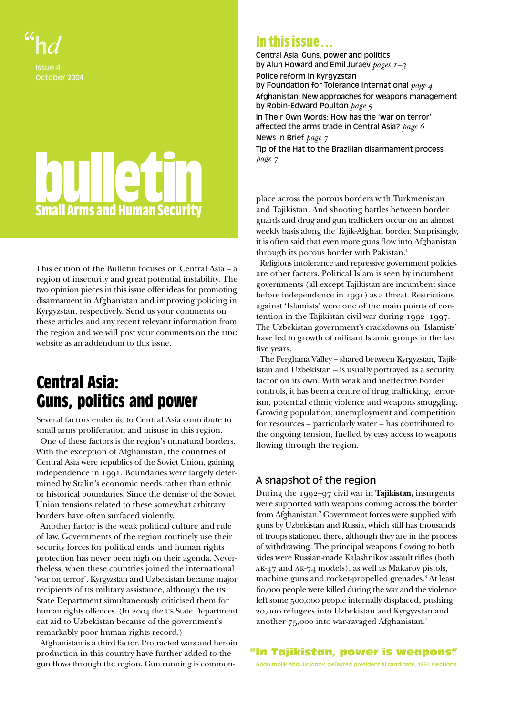

# **bulletin Small Arms and Human Security**

This edition of the Bulletin focuses on Central Asia – a region of insecurity and great potential instability. The two opinion pieces in this issue offer ideas for promoting disarmament in Afghanistan and improving policing in Kyrgyzstan, respectively. Send us your comments on these articles and any recent relevant information from the region and we will post your comments on the HDC website as an addendum to this issue.

# **Central Asia: Guns, politics and power**

Several factors endemic to Central Asia contribute to small arms proliferation and misuse in this region.

 One of these factors is the region's unnatural borders. With the exception of Afghanistan, the countries of Central Asia were republics of the Soviet Union, gaining independence in 1991. Boundaries were largely determined by Stalin's economic needs rather than ethnic or historical boundaries. Since the demise of the Soviet Union tensions related to these somewhat arbitrary borders have often surfaced violently.

 Another factor is the weak political culture and rule of law. Governments of the region routinely use their security forces for political ends, and human rights protection has never been high on their agenda. Nevertheless, when these countries joined the international 'war on terror', Kyrgyzstan and Uzbekistan became major recipients of us military assistance, although the us State Department simultaneously criticised them for human rights offences. (In 2004 the us State Department cut aid to Uzbekistan because of the government's remarkably poor human rights record.)

 Afghanistan is a third factor. Protracted wars and heroin production in this country have further added to the gun flows through the region. Gun running is common-

# **In this issue** . . .

Central Asia: Guns, power and politics by Alun Howard and Emil Juraev *pages 1–3* Police reform in Kyrgyzstan by Foundation for Tolerance International *page 4* Afghanistan: New approaches for weapons management by Robin-Edward Poulton *page 5* In Their Own Words: How has the 'war on terror' affected the arms trade in Central Asia? *page 6* News in Brief *page 7* Tip of the Hat to the Brazilian disarmament process *page 7*

place across the porous borders with Turkmenistan and Tajikistan. And shooting battles between border guards and drug and gun traffickers occur on an almost weekly basis along the Tajik-Afghan border. Surprisingly, it is often said that even more guns flow into Afghanistan through its porous border with Pakistan.1

 Religious intolerance and repressive government policies are other factors. Political Islam is seen by incumbent governments (all except Tajikistan are incumbent since before independence in 1991) as a threat. Restrictions against 'Islamists' were one of the main points of contention in the Tajikistan civil war during 1992–1997. The Uzbekistan government's crackdowns on 'Islamists' have led to growth of militant Islamic groups in the last five years.

 The Ferghana Valley – shared between Kyrgyzstan, Tajikistan and Uzbekistan – is usually portrayed as a security factor on its own. With weak and ineffective border controls, it has been a centre of drug trafficking, terrorism, potential ethnic violence and weapons smuggling. Growing population, unemployment and competition for resources – particularly water – has contributed to the ongoing tension, fuelled by easy access to weapons flowing through the region.

# A snapshot of the region

During the 1992–97 civil war in **Tajikistan,** insurgents were supported with weapons coming across the border from Afghanistan.<sup>2</sup> Government forces were supplied with guns by Uzbekistan and Russia, which still has thousands of troops stationed there, although they are in the process of withdrawing. The principal weapons flowing to both sides were Russian-made Kalashnikov assault rifles (both ak-47 and ak-74 models), as well as Makarov pistols, machine guns and rocket-propelled grenades.3 At least 60,000 people were killed during the war and the violence left some 500,000 people internally displaced, pushing 20,000 refugees into Uzbekistan and Kyrgyzstan and another 75,000 into war-ravaged Afghanistan.4

"In Tajikistan, power is weapons"

Abdulmolik Abdullojonov, defeated presidential candidate, 1994 elections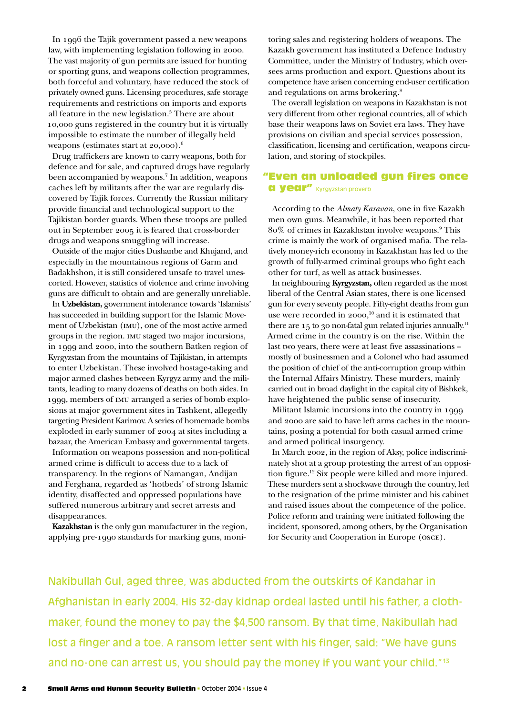In 1996 the Tajik government passed a new weapons law, with implementing legislation following in 2000. The vast majority of gun permits are issued for hunting or sporting guns, and weapons collection programmes, both forceful and voluntary, have reduced the stock of privately owned guns. Licensing procedures, safe storage requirements and restrictions on imports and exports all feature in the new legislation.<sup>5</sup> There are about 10,000 guns registered in the country but it is virtually impossible to estimate the number of illegally held weapons (estimates start at 20,000).6

Drug traffickers are known to carry weapons, both for defence and for sale, and captured drugs have regularly been accompanied by weapons.7 In addition, weapons caches left by militants after the war are regularly discovered by Tajik forces. Currently the Russian military provide financial and technological support to the Tajikistan border guards. When these troops are pulled out in September 2005 it is feared that cross-border drugs and weapons smuggling will increase.

Outside of the major cities Dushanbe and Khujand, and especially in the mountainous regions of Garm and Badakhshon, it is still considered unsafe to travel unescorted. However, statistics of violence and crime involving guns are difficult to obtain and are generally unreliable.

In **Uzbekistan,** government intolerance towards 'Islamists' has succeeded in building support for the Islamic Movement of Uzbekistan (imu), one of the most active armed groups in the region. imu staged two major incursions, in 1999 and 2000, into the southern Batken region of Kyrgyzstan from the mountains of Tajikistan, in attempts to enter Uzbekistan. These involved hostage-taking and major armed clashes between Kyrgyz army and the militants, leading to many dozens of deaths on both sides. In 1999, members of imu arranged a series of bomb explosions at major government sites in Tashkent, allegedly targeting President Karimov. A series of homemade bombs exploded in early summer of 2004 at sites including a bazaar, the American Embassy and governmental targets.

Information on weapons possession and non-political armed crime is difficult to access due to a lack of transparency. In the regions of Namangan, Andijan and Ferghana, regarded as 'hotbeds' of strong Islamic identity, disaffected and oppressed populations have suffered numerous arbitrary and secret arrests and disappearances.

 **Kazakhstan** is the only gun manufacturer in the region, applying pre-1990 standards for marking guns, monitoring sales and registering holders of weapons. The Kazakh government has instituted a Defence Industry Committee, under the Ministry of Industry, which oversees arms production and export. Questions about its competence have arisen concerning end-user certification and regulations on arms brokering.8

The overall legislation on weapons in Kazakhstan is not very different from other regional countries, all of which base their weapons laws on Soviet era laws. They have provisions on civilian and special services possession, classification, licensing and certification, weapons circulation, and storing of stockpiles.

# "Even an unloaded gun fires once a year" Kyrgyzstan proverb

According to the *Almaty Karavan*, one in five Kazakh men own guns. Meanwhile, it has been reported that 80% of crimes in Kazakhstan involve weapons.9 This crime is mainly the work of organised mafia. The relatively money-rich economy in Kazakhstan has led to the growth of fully-armed criminal groups who fight each other for turf, as well as attack businesses.

In neighbouring **Kyrgyzstan,** often regarded as the most liberal of the Central Asian states, there is one licensed gun for every seventy people. Fifty-eight deaths from gun use were recorded in 2000, 10 and it is estimated that there are 15 to 30 non-fatal gun related injuries annually.<sup>11</sup> Armed crime in the country is on the rise. Within the last two years, there were at least five assassinations – mostly of businessmen and a Colonel who had assumed the position of chief of the anti-corruption group within the Internal Affairs Ministry. These murders, mainly carried out in broad daylight in the capital city of Bishkek, have heightened the public sense of insecurity.

Militant Islamic incursions into the country in 1999 and 2000 are said to have left arms caches in the mountains, posing a potential for both casual armed crime and armed political insurgency.

In March 2002, in the region of Aksy, police indiscriminately shot at a group protesting the arrest of an opposition figure.12 Six people were killed and more injured. These murders sent a shockwave through the country, led to the resignation of the prime minister and his cabinet and raised issues about the competence of the police. Police reform and training were initiated following the incident, sponsored, among others, by the Organisation for Security and Cooperation in Europe (osce).

Nakibullah Gul, aged three, was abducted from the outskirts of Kandahar in Afghanistan in early 2004. His 32-day kidnap ordeal lasted until his father, a clothmaker, found the money to pay the \$4,500 ransom. By that time, Nakibullah had lost a finger and a toe. A ransom letter sent with his finger, said: "We have guns and no-one can arrest us, you should pay the money if you want your child."13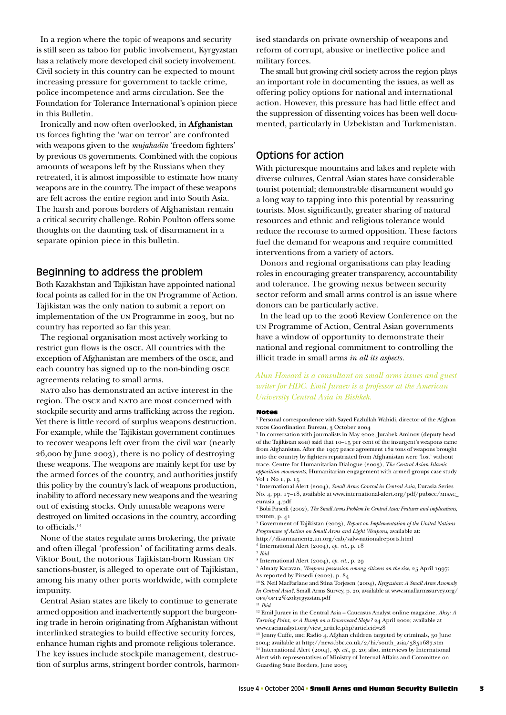In a region where the topic of weapons and security is still seen as taboo for public involvement, Kyrgyzstan has a relatively more developed civil society involvement. Civil society in this country can be expected to mount increasing pressure for government to tackle crime, police incompetence and arms circulation. See the Foundation for Tolerance International's opinion piece in this Bulletin.

Ironically and now often overlooked, in **Afghanistan**  us forces fighting the 'war on terror' are confronted with weapons given to the *mujahadin* 'freedom fighters' by previous us governments. Combined with the copious amounts of weapons left by the Russians when they retreated, it is almost impossible to estimate how many weapons are in the country. The impact of these weapons are felt across the entire region and into South Asia. The harsh and porous borders of Afghanistan remain a critical security challenge. Robin Poulton offers some thoughts on the daunting task of disarmament in a separate opinion piece in this bulletin.

# Beginning to address the problem

Both Kazakhstan and Tajikistan have appointed national focal points as called for in the un Programme of Action. Tajikistan was the only nation to submit a report on implementation of the un Programme in 2003, but no country has reported so far this year.

 The regional organisation most actively working to restrict gun flows is the osce. All countries with the exception of Afghanistan are members of the osce, and each country has signed up to the non-binding osce agreements relating to small arms.

nato also has demonstrated an active interest in the region. The osce and nato are most concerned with stockpile security and arms trafficking across the region. Yet there is little record of surplus weapons destruction. For example, while the Tajikistan government continues to recover weapons left over from the civil war (nearly 26,000 by June 2003), there is no policy of destroying these weapons. The weapons are mainly kept for use by the armed forces of the country, and authorities justify this policy by the country's lack of weapons production, inability to afford necessary new weapons and the wearing out of existing stocks. Only unusable weapons were destroyed on limited occasions in the country, according to officials.14

 None of the states regulate arms brokering, the private and often illegal 'profession' of facilitating arms deals. Viktor Bout, the notorious Tajikistan-born Russian un sanctions-buster, is alleged to operate out of Tajikistan, among his many other ports worldwide, with complete impunity.

 Central Asian states are likely to continue to generate armed opposition and inadvertently support the burgeoning trade in heroin originating from Afghanistan without interlinked strategies to build effective security forces, enhance human rights and promote religious tolerance. The key issues include stockpile management, destruction of surplus arms, stringent border controls, harmonised standards on private ownership of weapons and reform of corrupt, abusive or ineffective police and military forces.

 The small but growing civil society across the region plays an important role in documenting the issues, as well as offering policy options for national and international action. However, this pressure has had little effect and the suppression of dissenting voices has been well documented, particularly in Uzbekistan and Turkmenistan.

# Options for action

With picturesque mountains and lakes and replete with diverse cultures, Central Asian states have considerable tourist potential; demonstrable disarmament would go a long way to tapping into this potential by reassuring tourists. Most significantly, greater sharing of natural resources and ethnic and religious tolerance would reduce the recourse to armed opposition. These factors fuel the demand for weapons and require committed interventions from a variety of actors.

 Donors and regional organisations can play leading roles in encouraging greater transparency, accountability and tolerance. The growing nexus between security sector reform and small arms control is an issue where donors can be particularly active.

 In the lead up to the 2006 Review Conference on the un Programme of Action, Central Asian governments have a window of opportunity to demonstrate their national and regional commitment to controlling the illicit trade in small arms *in all its aspects.*

# *Alun Howard is a consultant on small arms issues and guest writer for HDC. Emil Juraev is a professor at the American University Central Asia in Bishkek.*

#### Notes

<sup>1</sup> Personal correspondence with Sayed Fazlullah Wahidi, director of the Afghan ngos Coordination Bureau, 3 October 2004

2 In conversation with journalists in May 2002, Jurabek Aminov (deputy head of the Tajikistan KGB) said that 10–15 per cent of the insurgent's weapons came from Afghanistan. After the 1997 peace agreement 182 tons of weapons brought into the country by fighters repatriated from Afghanistan were 'lost' without trace. Centre for Humanitarian Dialogue (2003), *The Central Asian Islamic opposition movements*, Humanitarian engagement with armed groups case study Vol 1 No 1, p. 15

3 International Alert (2004), *Small Arms Control in Central Asia*, Eurasia Series No. 4, pp. 17–18, available at www.international-alert.org/pdf/pubsec/ ${\rm \scriptstyle MISAC\_}$ eurasia\_4.pdf

 Bobi Pirsedi (2002), *The Small Arms Problem In Central Asia: Features and implications*, unidir, p. 41

5 Government of Tajikistan (2003), *Report on Implementation of the United Nations Programme of Action on Small Arms and Light Weapons*, available at:

http://disarmament2.un.org/cab/salw-nationalreports.html 6 International Alert (2004), *op. cit.,* p. <sup>18</sup>

<sup>7</sup> *Ibid*

<sup>8</sup> International Alert (2004), *op. cit.,* p. 29 9 Almaty Karavan, *Weapons possession among citizens on the rise*, 25 April 1997;

As reported by Pirsedi (2002), p. 84

10 S. Neil MacFarlane and Stina Torjesen (2004), *Kyrgyzstan: A Small Arms Anomaly In Central Asia?*, Small Arms Survey, p. 20, available at www.smallarmssurvey.org/ ops/op12%20kyrgyzstan.pdf 11 *Ibid*

12 Emil Juraev in the Central Asia – Caucasus Analyst online magazine, *Aksy: A Turning Point, or A Bump on a Downward Slope?* 24 April 2002; available at www.cacianalyst.org/view\_article.php?articleid=28

 $^{\rm 13}$  Jenny Cuffe, BBC Radio 4, Afghan children targeted by criminals, 30 June 2004; available at http://news.bbc.co.uk/2/hi/south\_asia/3851687.stm <sup>14</sup> International Alert (2004), *op. cit.,* p. 20; also, interviews by International Alert with representatives of Ministry of Internal Affairs and Committee on Guarding State Borders, June 2003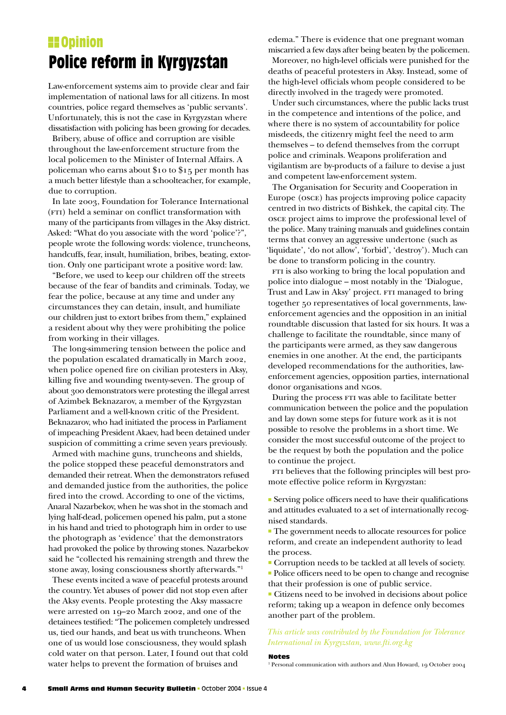# **Police reform in Kyrgyzstan**

Law-enforcement systems aim to provide clear and fair implementation of national laws for all citizens. In most countries, police regard themselves as 'public servants'. Unfortunately, this is not the case in Kyrgyzstan where dissatisfaction with policing has been growing for decades.

 Bribery, abuse of office and corruption are visible throughout the law-enforcement structure from the local policemen to the Minister of Internal Affairs. A policeman who earns about \$10 to \$15 per month has a much better lifestyle than a schoolteacher, for example, due to corruption.

 In late 2003, Foundation for Tolerance International (FTI) held a seminar on conflict transformation with many of the participants from villages in the Aksy district. Asked: "What do you associate with the word 'police'?", people wrote the following words: violence, truncheons, handcuffs, fear, insult, humiliation, bribes, beating, extortion. Only one participant wrote a positive word: law.

 "Before, we used to keep our children off the streets because of the fear of bandits and criminals. Today, we fear the police, because at any time and under any circumstances they can detain, insult, and humiliate our children just to extort bribes from them," explained a resident about why they were prohibiting the police from working in their villages.

 The long-simmering tension between the police and the population escalated dramatically in March 2002, when police opened fire on civilian protesters in Aksy, killing five and wounding twenty-seven. The group of about 300 demonstrators were protesting the illegal arrest of Azimbek Beknazarov, a member of the Kyrgyzstan Parliament and a well-known critic of the President. Beknazarov, who had initiated the process in Parliament of impeaching President Akaev, had been detained under suspicion of committing a crime seven years previously.

 Armed with machine guns, truncheons and shields, the police stopped these peaceful demonstrators and demanded their retreat. When the demonstrators refused and demanded justice from the authorities, the police fired into the crowd. According to one of the victims, Anaral Nazarbekov, when he was shot in the stomach and lying half-dead, policemen opened his palm, put a stone in his hand and tried to photograph him in order to use the photograph as 'evidence' that the demonstrators had provoked the police by throwing stones. Nazarbekov said he "collected his remaining strength and threw the stone away, losing consciousness shortly afterwards."1

 These events incited a wave of peaceful protests around the country. Yet abuses of power did not stop even after the Aksy events. People protesting the Aksy massacre were arrested on 19–20 March 2002, and one of the detainees testified: "The policemen completely undressed us, tied our hands, and beat us with truncheons. When one of us would lose consciousness, they would splash cold water on that person. Later, I found out that cold water helps to prevent the formation of bruises and

**Committee Committee Exception Except** edema." There is evidence that one pregnant woman miscarried a few days after being beaten by the policemen. Moreover, no high-level officials were punished for the deaths of peaceful protesters in Aksy. Instead, some of the high-level officials whom people considered to be directly involved in the tragedy were promoted.

> Under such circumstances, where the public lacks trust in the competence and intentions of the police, and where there is no system of accountability for police misdeeds, the citizenry might feel the need to arm themselves – to defend themselves from the corrupt police and criminals. Weapons proliferation and vigilantism are by-products of a failure to devise a just and competent law-enforcement system.

> The Organisation for Security and Cooperation in Europe (osce) has projects improving police capacity centred in two districts of Bishkek, the capital city. The osce project aims to improve the professional level of the police. Many training manuals and guidelines contain terms that convey an aggressive undertone (such as 'liquidate', 'do not allow', 'forbid', 'destroy'). Much can be done to transform policing in the country.

> FTI is also working to bring the local population and police into dialogue – most notably in the 'Dialogue, Trust and Law in Aksy' project. FTI managed to bring together 50 representatives of local governments, lawenforcement agencies and the opposition in an initial roundtable discussion that lasted for six hours. It was a challenge to facilitate the roundtable, since many of the participants were armed, as they saw dangerous enemies in one another. At the end, the participants developed recommendations for the authorities, lawenforcement agencies, opposition parties, international donor organisations and ngos.

> During the process FTI was able to facilitate better communication between the police and the population and lay down some steps for future work as it is not possible to resolve the problems in a short time. We consider the most successful outcome of the project to be the request by both the population and the police to continue the project.

> FTI believes that the following principles will best promote effective police reform in Kyrgyzstan:

> $\blacksquare$  Serving police officers need to have their qualifications and attitudes evaluated to a set of internationally recognised standards.

<sup>n</sup> The government needs to allocate resources for police reform, and create an independent authority to lead the process.

<sup>n</sup> Corruption needs to be tackled at all levels of society.

 <sup>n</sup> Police officers need to be open to change and recognise that their profession is one of public service.

 $\blacksquare$  Citizens need to be involved in decisions about police reform; taking up a weapon in defence only becomes another part of the problem.

#### *This article was contributed by the Foundation for Tolerance International in Kyrgyzstan, www.fti.org.kg*

#### Notes

<sup>1</sup> Personal communication with authors and Alun Howard, 19 October 2004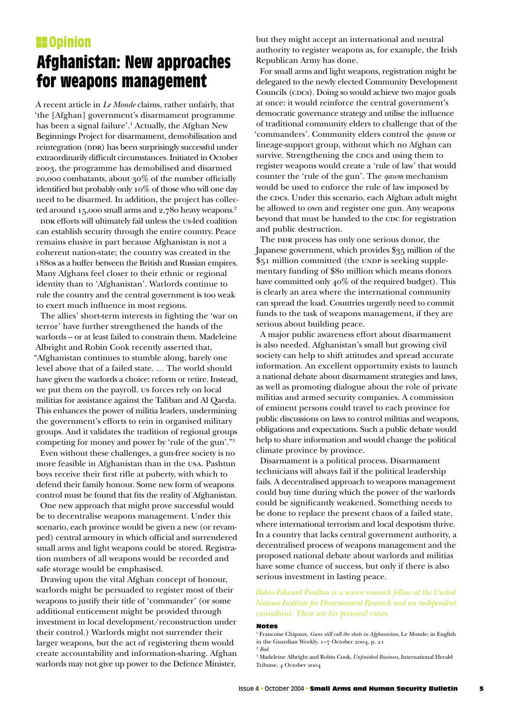# **H**opinion **Afghanistan: New approaches for weapons management**

A recent article in *Le Monde* claims, rather unfairly, that 'the [Afghan] government's disarmament programme has been a signal failure'.<sup>1</sup> Actually, the Afghan New Beginnings Project for disarmament, demobilisation and reintegration (DDR) has been surprisingly successful under extraordinarily difficult circumstances. Initiated in October 2003, the programme has demobilised and disarmed 20,000 combatants, about 30% of the number officially identified but probably only 10% of those who will one day need to be disarmed. In addition, the project has collected around 15,000 small arms and 2,780 heavy weapons.<sup>2</sup>

DDR efforts will ultimately fail unless the us-led coalition can establish security through the entire country. Peace remains elusive in part because Afghanistan is not a coherent nation-state; the country was created in the 1880s as a buffer between the British and Russian empires. Many Afghans feel closer to their ethnic or regional identity than to 'Afghanistan'. Warlords continue to rule the country and the central government is too weak to exert much influence in most regions.

 The allies' short-term interests in fighting the 'war on terror' have further strengthened the hands of the warlords – or at least failed to constrain them. Madeleine Albright and Robin Cook recently asserted that, "Afghanistan continues to stumble along, barely one level above that of a failed state. … The world should have given the warlords a choice: reform or retire. Instead, we put them on the payroll. us forces rely on local militias for assistance against the Taliban and Al Qaeda. This enhances the power of militia leaders, undermining the government's efforts to rein in organised military groups. And it validates the tradition of regional groups competing for money and power by 'rule of the gun'."3

 Even without these challenges, a gun-free society is no more feasible in Afghanistan than in the usa. Pashtun boys receive their first rifle at puberty, with which to defend their family honour. Some new form of weapons control must be found that fits the reality of Afghanistan.

 One new approach that might prove successful would be to decentralise weapons management. Under this scenario, each province would be given a new (or revamped) central armoury in which official and surrendered small arms and light weapons could be stored. Registration numbers of all weapons would be recorded and safe storage would be emphasised.

 Drawing upon the vital Afghan concept of honour, warlords might be persuaded to register most of their weapons to justify their title of 'commander' (or some additional enticement might be provided through investment in local development/reconstruction under their control.) Warlords might not surrender their larger weapons, but the act of registering them would create accountability and information-sharing. Afghan warlords may not give up power to the Defence Minister,

but they might accept an international and neutral authority to register weapons as, for example, the Irish Republican Army has done.

 For small arms and light weapons, registration might be delegated to the newly elected Community Development Councils (CDCs). Doing so would achieve two major goals at once: it would reinforce the central government's democratic governance strategy and utilise the influence of traditional community elders to challenge that of the 'commanders'. Community elders control the *qawm* or lineage-support group, without which no Afghan can survive. Strengthening the cocs and using them to register weapons would create a 'rule of law' that would counter the 'rule of the gun'. The *qawm* mechanism would be used to enforce the rule of law imposed by the cocs. Under this scenario, each Afghan adult might be allowed to own and register one gun. Any weapons beyond that must be handed to the CDC for registration and public destruction.

The DDR process has only one serious donor, the Japanese government, which provides \$35 million of the \$51 million committed (the UNDP is seeking supplementary funding of \$80 million which means donors have committed only 40% of the required budget). This is clearly an area where the international community can spread the load. Countries urgently need to commit funds to the task of weapons management, if they are serious about building peace.

 A major public awareness effort about disarmament is also needed. Afghanistan's small but growing civil society can help to shift attitudes and spread accurate information. An excellent opportunity exists to launch a national debate about disarmament strategies and laws, as well as promoting dialogue about the role of private militias and armed security companies. A commission of eminent persons could travel to each province for public discussions on laws to control militias and weapons, obligations and expectations. Such a public debate would help to share information and would change the political climate province by province.

 Disarmament is a political process. Disarmament technicians will always fail if the political leadership fails. A decentralised approach to weapons management could buy time during which the power of the warlords could be significantly weakened. Something needs to be done to replace the present chaos of a failed state, where international terrorism and local despotism thrive. In a country that lacks central government authority, a decentralised process of weapons management and the proposed national debate about warlords and militias have some chance of success, but only if there is also serious investment in lasting peace.

# *Robin-Edward Poulton is a senior research fellow at the United Nations Institute for Disarmament Research and an independent consultant. These are his personal views.*

#### Notes

1 Francoise Chipaux, *Guns still call the shots in Afghanistan*, Le Monde; in English in the Guardian Weekly, 1–7 October 2004, p. 21 <sup>2</sup> *Ibid*

3 Madeleine Albright and Robin Cook, *Unfinished Business*, International Herald Tribune, 4 October 2004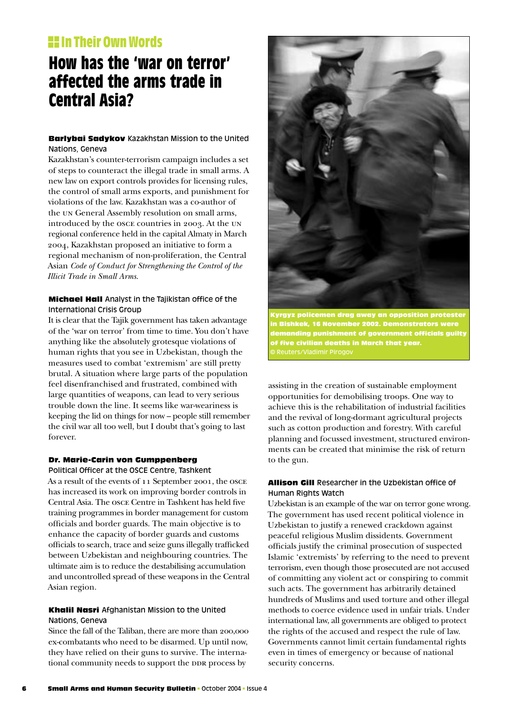# **IIII** In Their Own Words

# **How has the 'war on terror' affected the arms trade in Central Asia?**

# Barlybai Sadykov Kazakhstan Mission to the United Nations, Geneva

Kazakhstan's counter-terrorism campaign includes a set of steps to counteract the illegal trade in small arms. A new law on export controls provides for licensing rules, the control of small arms exports, and punishment for violations of the law. Kazakhstan was a co-author of the un General Assembly resolution on small arms, introduced by the osce countries in 2003. At the un regional conference held in the capital Almaty in March 2004, Kazakhstan proposed an initiative to form a regional mechanism of non-proliferation, the Central Asian *Code of Conduct for Strengthening the Control of the Illicit Trade in Small Arms*.

# **Michael Hall** Analyst in the Tajikistan office of the International Crisis Group

It is clear that the Tajik government has taken advantage of the 'war on terror' from time to time. You don't have anything like the absolutely grotesque violations of human rights that you see in Uzbekistan, though the measures used to combat 'extremism' are still pretty brutal. A situation where large parts of the population feel disenfranchised and frustrated, combined with large quantities of weapons, can lead to very serious trouble down the line. It seems like war-weariness is keeping the lid on things for now – people still remember the civil war all too well, but I doubt that's going to last forever.

# Dr. Marie-Carin von Gumppenberg

Political Officer at the OSCE Centre, Tashkent As a result of the events of 11 September 2001, the osce has increased its work on improving border controls in Central Asia. The osce Centre in Tashkent has held five training programmes in border management for custom officials and border guards. The main objective is to enhance the capacity of border guards and customs officials to search, trace and seize guns illegally trafficked between Uzbekistan and neighbouring countries. The ultimate aim is to reduce the destabilising accumulation and uncontrolled spread of these weapons in the Central Asian region.

#### Khalil Nasri Afghanistan Mission to the United Nations, Geneva

Since the fall of the Taliban, there are more than 200,000 ex-combatants who need to be disarmed. Up until now, they have relied on their guns to survive. The international community needs to support the DDR process by



policemen drag away an opposition protester k, 16 November 2002. Demonstrators were ing punishment of government officials guilty re civilian deaths in March that year.

assisting in the creation of sustainable employment opportunities for demobilising troops. One way to achieve this is the rehabilitation of industrial facilities and the revival of long-dormant agricultural projects such as cotton production and forestry. With careful planning and focussed investment, structured environments can be created that minimise the risk of return to the gun.

## Allison Gill Researcher in the Uzbekistan office of Human Rights Watch

Uzbekistan is an example of the war on terror gone wrong. The government has used recent political violence in Uzbekistan to justify a renewed crackdown against peaceful religious Muslim dissidents. Government officials justify the criminal prosecution of suspected Islamic 'extremists' by referring to the need to prevent terrorism, even though those prosecuted are not accused of committing any violent act or conspiring to commit such acts. The government has arbitrarily detained hundreds of Muslims and used torture and other illegal methods to coerce evidence used in unfair trials. Under international law, all governments are obliged to protect the rights of the accused and respect the rule of law. Governments cannot limit certain fundamental rights even in times of emergency or because of national security concerns.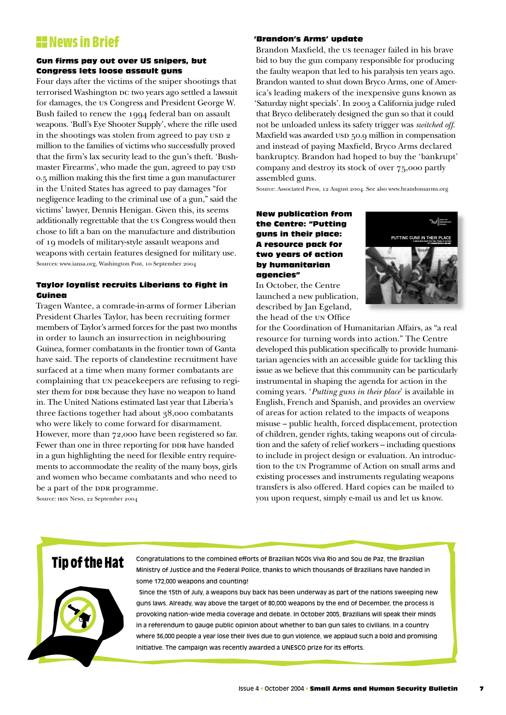# **HE News in Brief**

#### Gun firms pay out over US snipers, but Congress lets loose assault guns

Four days after the victims of the sniper shootings that terrorised Washington DC two years ago settled a lawsuit for damages, the us Congress and President George W. Bush failed to renew the 1994 federal ban on assault weapons. 'Bull's Eye Shooter Supply', where the rifle used in the shootings was stolen from agreed to pay usp 2 million to the families of victims who successfully proved that the firm's lax security lead to the gun's theft. 'Bushmaster Firearms', who made the gun, agreed to pay usp 0.5 million making this the first time a gun manufacturer in the United States has agreed to pay damages "for negligence leading to the criminal use of a gun," said the victims' lawyer, Dennis Henigan. Given this, its seems additionally regrettable that the us Congress would then chose to lift a ban on the manufacture and distribution of 19 models of military-style assault weapons and weapons with certain features designed for military use. Sources: www.iansa.org, Washington Post, 10 September 2004

## Taylor loyalist recruits Liberians to fight in Guinea

Tragen Wantee, a comrade-in-arms of former Liberian President Charles Taylor, has been recruiting former members of Taylor's armed forces for the past two months in order to launch an insurrection in neighbouring Guinea, former combatants in the frontier town of Ganta have said. The reports of clandestine recruitment have surfaced at a time when many former combatants are complaining that un peacekeepers are refusing to register them for DDR because they have no weapon to hand in. The United Nations estimated last year that Liberia's three factions together had about 38,000 combatants who were likely to come forward for disarmament. However, more than 72,000 have been registered so far. Fewer than one in three reporting for DDR have handed in a gun highlighting the need for flexible entry requirements to accommodate the reality of the many boys, girls and women who became combatants and who need to be a part of the DDR programme.

Source: IRIN News, 22 September 2004

#### 'Brandon's Arms' update

Brandon Maxfield, the us teenager failed in his brave bid to buy the gun company responsible for producing the faulty weapon that led to his paralysis ten years ago. Brandon wanted to shut down Bryco Arms, one of America's leading makers of the inexpensive guns known as 'Saturday night specials'. In 2003 a California judge ruled that Bryco deliberately designed the gun so that it could not be unloaded unless its safety trigger was *switched off*. Maxfield was awarded usp 50.9 million in compensation and instead of paying Maxfield, Bryco Arms declared bankruptcy. Brandon had hoped to buy the 'bankrupt' company and destroy its stock of over 75,000 partly assembled guns.

Source: Associated Press, 12 August 2004. See also www.brandonsarms.org

## New publication from the Centre: "Putting guns in their place: A resource pack for two years of action by humanitarian agencies"

In October, the Centre launched a new publication, described by Jan Egeland, the head of the UN Office



for the Coordination of Humanitarian Affairs, as "a real resource for turning words into action." The Centre developed this publication specifically to provide humanitarian agencies with an accessible guide for tackling this issue as we believe that this community can be particularly instrumental in shaping the agenda for action in the coming years. '*Putting guns in their place*' is available in English, French and Spanish, and provides an overview of areas for action related to the impacts of weapons misuse – public health, forced displacement, protection of children, gender rights, taking weapons out of circulation and the safety of relief workers – including questions to include in project design or evaluation. An introduction to the un Programme of Action on small arms and existing processes and instruments regulating weapons transfers is also offered. Hard copies can be mailed to you upon request, simply e-mail us and let us know.

# **Tip of the Hat**



Congratulations to the combined efforts of Brazilian NGOs Viva Rio and Sou de Paz, the Brazilian Ministry of Justice and the Federal Police, thanks to which thousands of Brazilians have handed in some 172,000 weapons and counting!

 Since the 15th of July, a weapons buy back has been underway as part of the nations sweeping new guns laws. Already, way above the target of 80,000 weapons by the end of December, the process is provoking nation-wide media coverage and debate. In October 2005, Brazilians will speak their minds in a referendum to gauge public opinion about whether to ban gun sales to civilians. In a country where 36,000 people a year lose their lives due to gun violence, we applaud such a bold and promising initiative. The campaign was recently awarded a UNESCO prize for its efforts.